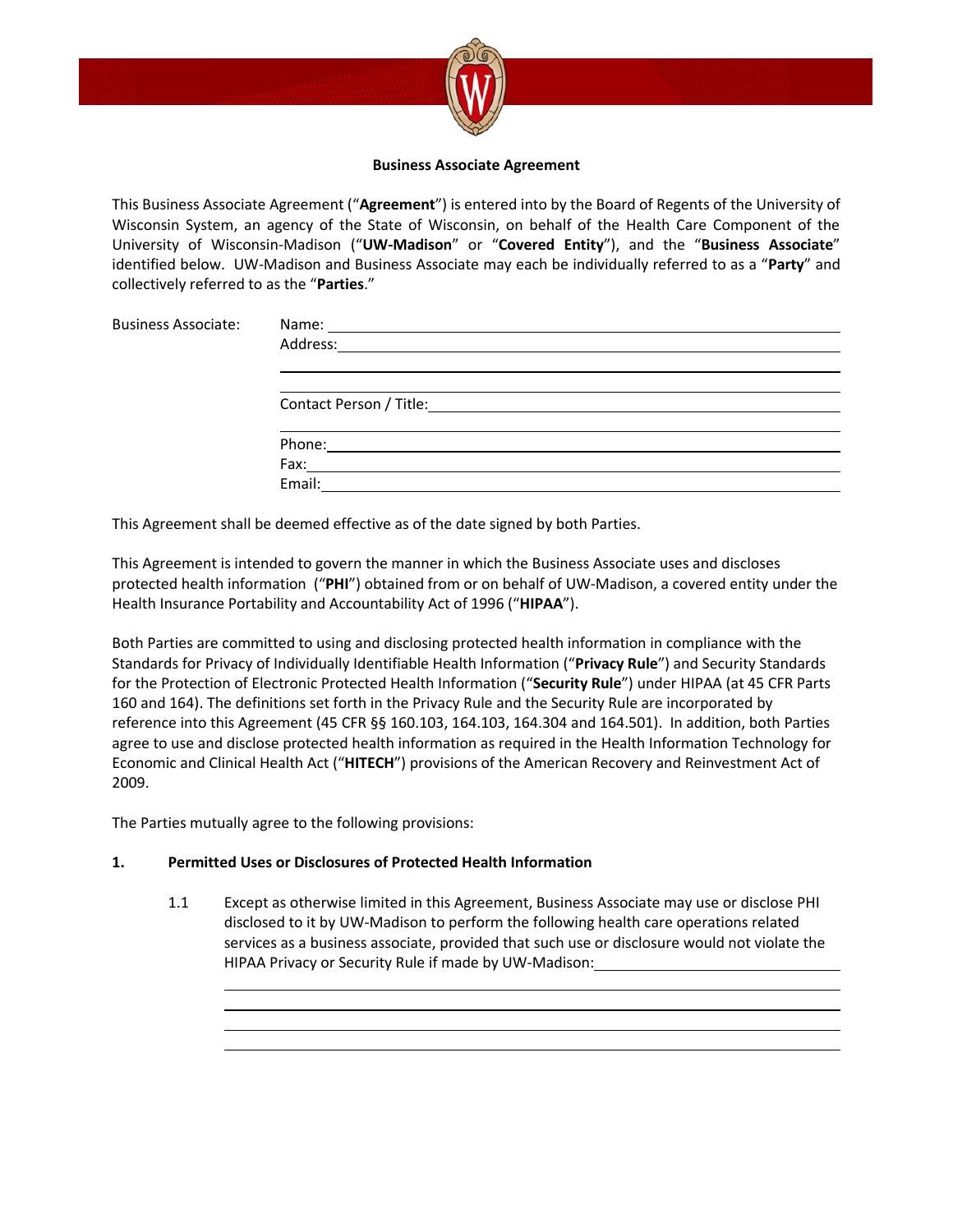

#### **Business Associate Agreement**

This Business Associate Agreement ("**Agreement**") is entered into by the Board of Regents of the University of Wisconsin System, an agency of the State of Wisconsin, on behalf of the Health Care Component of the University of Wisconsin-Madison ("**UW-Madison**" or "**Covered Entity**"), and the "**Business Associate**" identified below. UW-Madison and Business Associate may each be individually referred to as a "**Party**" and collectively referred to as the "**Parties**."

| Name:                        |  |  |
|------------------------------|--|--|
| Address:                     |  |  |
|                              |  |  |
|                              |  |  |
| Contact Person / Title: 2020 |  |  |
|                              |  |  |
| Phone:                       |  |  |
| Fax:                         |  |  |
| Email:                       |  |  |

This Agreement shall be deemed effective as of the date signed by both Parties.

This Agreement is intended to govern the manner in which the Business Associate uses and discloses protected health information ("**PHI**") obtained from or on behalf of UW-Madison, a covered entity under the Health Insurance Portability and Accountability Act of 1996 ("**HIPAA**").

Both Parties are committed to using and disclosing protected health information in compliance with the Standards for Privacy of Individually Identifiable Health Information ("**Privacy Rule**") and Security Standards for the Protection of Electronic Protected Health Information ("**Security Rule**") under HIPAA (at 45 CFR Parts 160 and 164). The definitions set forth in the Privacy Rule and the Security Rule are incorporated by reference into this Agreement (45 CFR §§ 160.103, 164.103, 164.304 and 164.501). In addition, both Parties agree to use and disclose protected health information as required in the Health Information Technology for Economic and Clinical Health Act ("**HITECH**") provisions of the American Recovery and Reinvestment Act of 2009.

The Parties mutually agree to the following provisions:

Business Associate:

## **1. Permitted Uses or Disclosures of Protected Health Information**

1.1 Except as otherwise limited in this Agreement, Business Associate may use or disclose PHI disclosed to it by UW-Madison to perform the following health care operations related services as a business associate, provided that such use or disclosure would not violate the HIPAA Privacy or Security Rule if made by UW-Madison: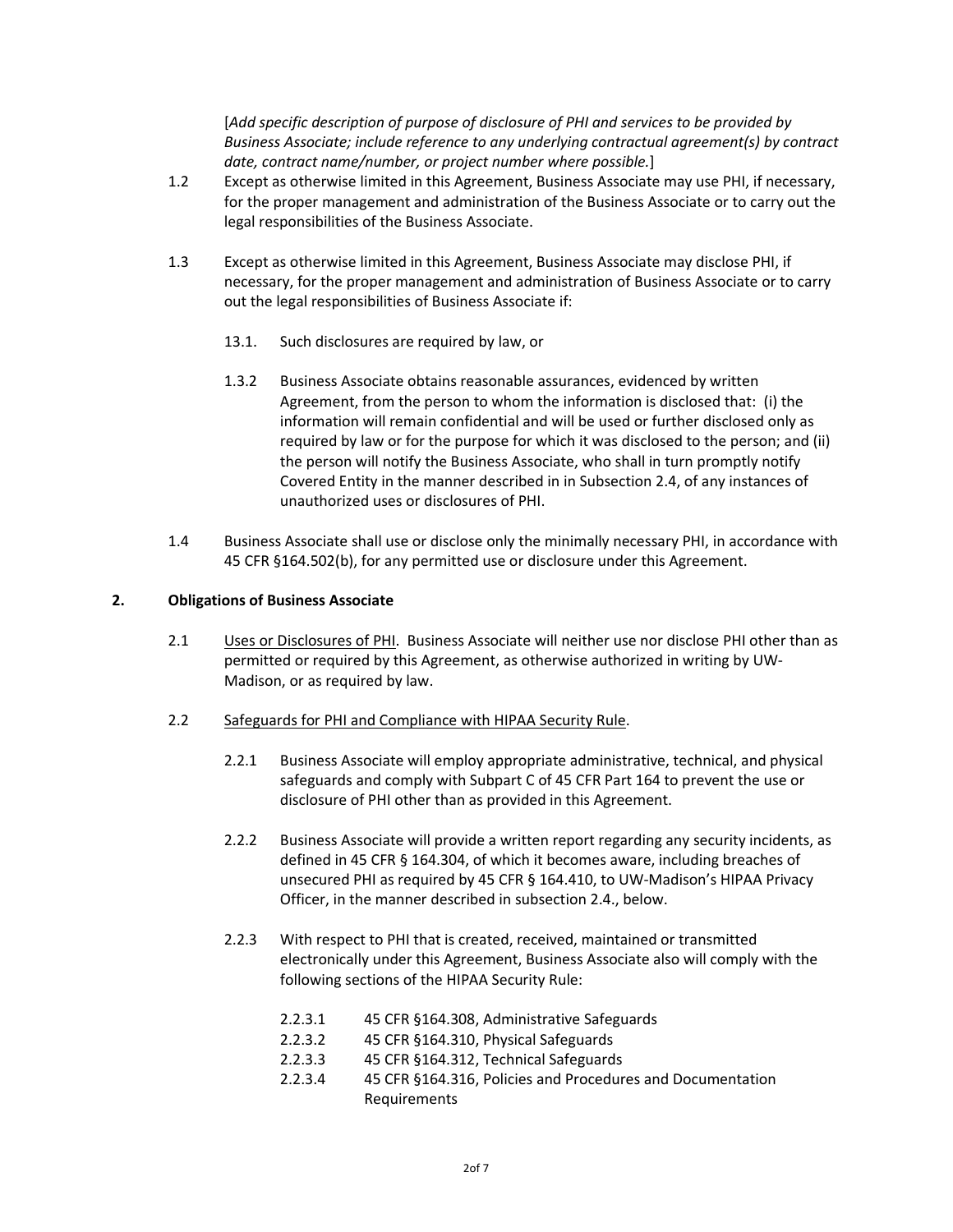[*Add specific description of purpose of disclosure of PHI and services to be provided by Business Associate; include reference to any underlying contractual agreement(s) by contract date, contract name/number, or project number where possible.*]

- 1.2 Except as otherwise limited in this Agreement, Business Associate may use PHI, if necessary, for the proper management and administration of the Business Associate or to carry out the legal responsibilities of the Business Associate.
- 1.3 Except as otherwise limited in this Agreement, Business Associate may disclose PHI, if necessary, for the proper management and administration of Business Associate or to carry out the legal responsibilities of Business Associate if:
	- 13.1. Such disclosures are required by law, or
	- 1.3.2 Business Associate obtains reasonable assurances, evidenced by written Agreement, from the person to whom the information is disclosed that: (i) the information will remain confidential and will be used or further disclosed only as required by law or for the purpose for which it was disclosed to the person; and (ii) the person will notify the Business Associate, who shall in turn promptly notify Covered Entity in the manner described in in Subsection 2.4, of any instances of unauthorized uses or disclosures of PHI.
- 1.4 Business Associate shall use or disclose only the minimally necessary PHI, in accordance with 45 CFR §164.502(b), for any permitted use or disclosure under this Agreement.

### **2. Obligations of Business Associate**

- 2.1 Uses or Disclosures of PHI. Business Associate will neither use nor disclose PHI other than as permitted or required by this Agreement, as otherwise authorized in writing by UW-Madison, or as required by law.
- 2.2 Safeguards for PHI and Compliance with HIPAA Security Rule.
	- 2.2.1 Business Associate will employ appropriate administrative, technical, and physical safeguards and comply with Subpart C of 45 CFR Part 164 to prevent the use or disclosure of PHI other than as provided in this Agreement.
	- 2.2.2 Business Associate will provide a written report regarding any security incidents, as defined in 45 CFR § 164.304, of which it becomes aware, including breaches of unsecured PHI as required by 45 CFR § 164.410, to UW-Madison's HIPAA Privacy Officer, in the manner described in subsection 2.4., below.
	- 2.2.3 With respect to PHI that is created, received, maintained or transmitted electronically under this Agreement, Business Associate also will comply with the following sections of the HIPAA Security Rule:
		- 2.2.3.1 45 CFR §164.308, Administrative Safeguards
		- 2.2.3.2 45 CFR §164.310, Physical Safeguards
		- 2.2.3.3 45 CFR §164.312, Technical Safeguards
		- 2.2.3.4 45 CFR §164.316, Policies and Procedures and Documentation Requirements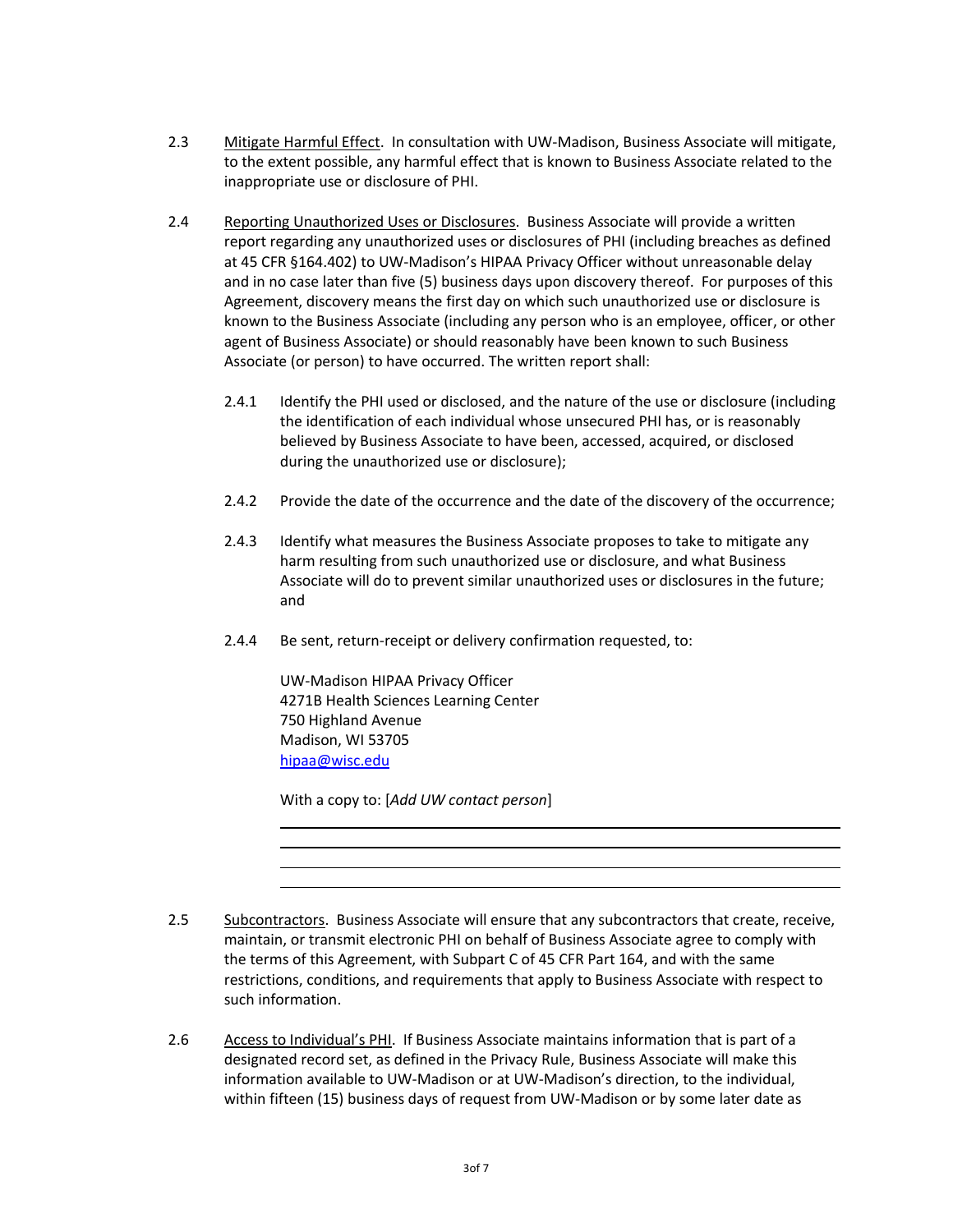- 2.3 Mitigate Harmful Effect. In consultation with UW-Madison, Business Associate will mitigate, to the extent possible, any harmful effect that is known to Business Associate related to the inappropriate use or disclosure of PHI.
- 2.4 Reporting Unauthorized Uses or Disclosures. Business Associate will provide a written report regarding any unauthorized uses or disclosures of PHI (including breaches as defined at 45 CFR §164.402) to UW-Madison's HIPAA Privacy Officer without unreasonable delay and in no case later than five (5) business days upon discovery thereof. For purposes of this Agreement, discovery means the first day on which such unauthorized use or disclosure is known to the Business Associate (including any person who is an employee, officer, or other agent of Business Associate) or should reasonably have been known to such Business Associate (or person) to have occurred. The written report shall:
	- 2.4.1 Identify the PHI used or disclosed, and the nature of the use or disclosure (including the identification of each individual whose unsecured PHI has, or is reasonably believed by Business Associate to have been, accessed, acquired, or disclosed during the unauthorized use or disclosure);
	- 2.4.2 Provide the date of the occurrence and the date of the discovery of the occurrence;
	- 2.4.3 Identify what measures the Business Associate proposes to take to mitigate any harm resulting from such unauthorized use or disclosure, and what Business Associate will do to prevent similar unauthorized uses or disclosures in the future; and
	- 2.4.4 Be sent, return-receipt or delivery confirmation requested, to:

UW-Madison HIPAA Privacy Officer 4271B Health Sciences Learning Center 750 Highland Avenue Madison, WI 53705 [hipaa@wisc.edu](mailto:hipaa@wisc.edu)

With a copy to: [*Add UW contact person*]

- 2.5 Subcontractors. Business Associate will ensure that any subcontractors that create, receive, maintain, or transmit electronic PHI on behalf of Business Associate agree to comply with the terms of this Agreement, with Subpart C of 45 CFR Part 164, and with the same restrictions, conditions, and requirements that apply to Business Associate with respect to such information.
- 2.6 Access to Individual's PHI. If Business Associate maintains information that is part of a designated record set, as defined in the Privacy Rule, Business Associate will make this information available to UW-Madison or at UW-Madison's direction, to the individual, within fifteen (15) business days of request from UW-Madison or by some later date as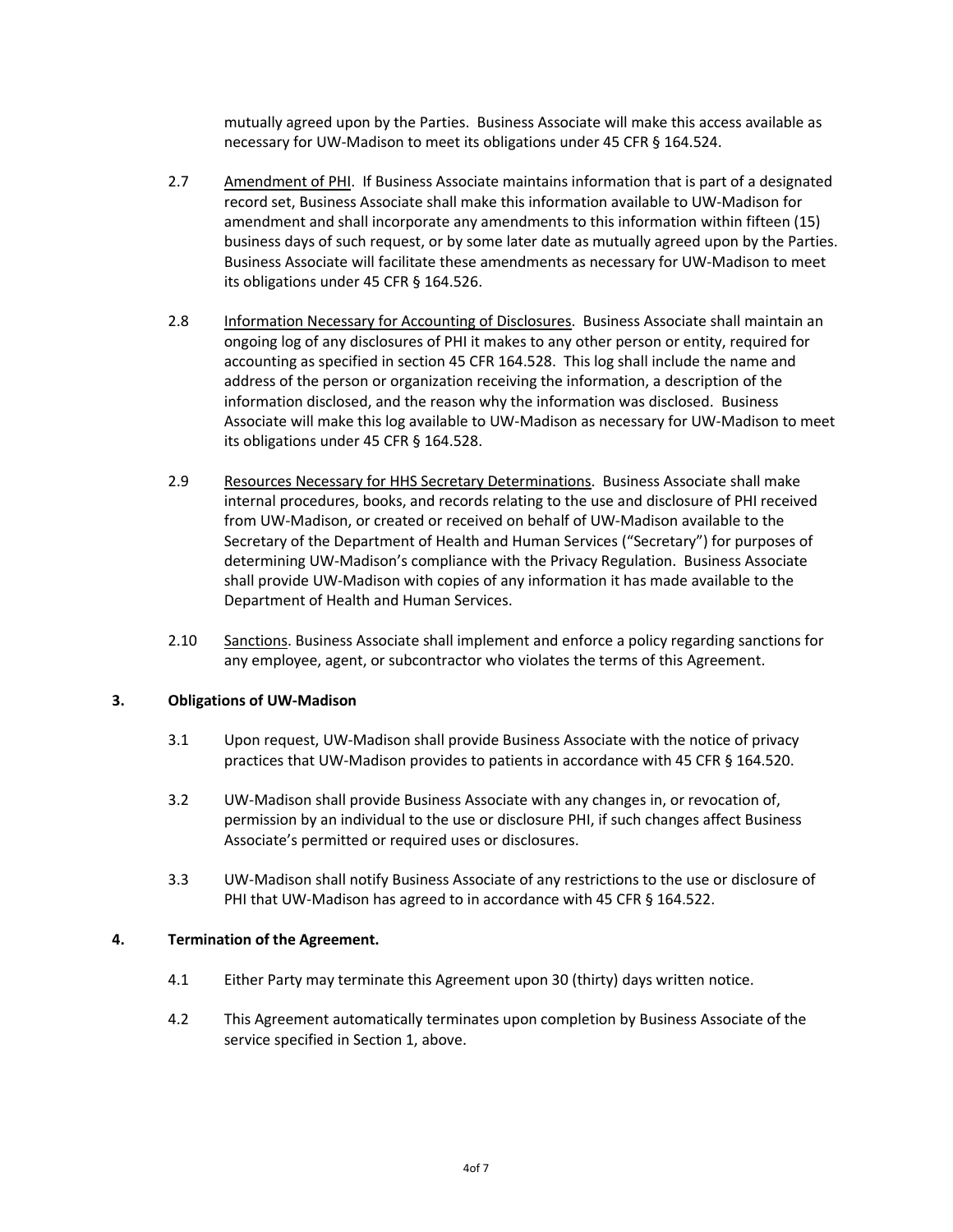mutually agreed upon by the Parties. Business Associate will make this access available as necessary for UW-Madison to meet its obligations under 45 CFR § 164.524.

- 2.7 Amendment of PHI. If Business Associate maintains information that is part of a designated record set, Business Associate shall make this information available to UW-Madison for amendment and shall incorporate any amendments to this information within fifteen (15) business days of such request, or by some later date as mutually agreed upon by the Parties. Business Associate will facilitate these amendments as necessary for UW-Madison to meet its obligations under 45 CFR § 164.526.
- 2.8 Information Necessary for Accounting of Disclosures. Business Associate shall maintain an ongoing log of any disclosures of PHI it makes to any other person or entity, required for accounting as specified in section 45 CFR 164.528. This log shall include the name and address of the person or organization receiving the information, a description of the information disclosed, and the reason why the information was disclosed. Business Associate will make this log available to UW-Madison as necessary for UW-Madison to meet its obligations under 45 CFR § 164.528.
- 2.9 Resources Necessary for HHS Secretary Determinations.Business Associate shall make internal procedures, books, and records relating to the use and disclosure of PHI received from UW-Madison, or created or received on behalf of UW-Madison available to the Secretary of the Department of Health and Human Services ("Secretary") for purposes of determining UW-Madison's compliance with the Privacy Regulation. Business Associate shall provide UW-Madison with copies of any information it has made available to the Department of Health and Human Services.
- 2.10 Sanctions. Business Associate shall implement and enforce a policy regarding sanctions for any employee, agent, or subcontractor who violates the terms of this Agreement.

#### **3. Obligations of UW-Madison**

- 3.1 Upon request, UW-Madison shall provide Business Associate with the notice of privacy practices that UW-Madison provides to patients in accordance with 45 CFR § 164.520.
- 3.2 UW-Madison shall provide Business Associate with any changes in, or revocation of, permission by an individual to the use or disclosure PHI, if such changes affect Business Associate's permitted or required uses or disclosures.
- 3.3 UW-Madison shall notify Business Associate of any restrictions to the use or disclosure of PHI that UW-Madison has agreed to in accordance with 45 CFR § 164.522.

#### **4. Termination of the Agreement.**

- 4.1 Either Party may terminate this Agreement upon 30 (thirty) days written notice.
- 4.2 This Agreement automatically terminates upon completion by Business Associate of the service specified in Section 1, above.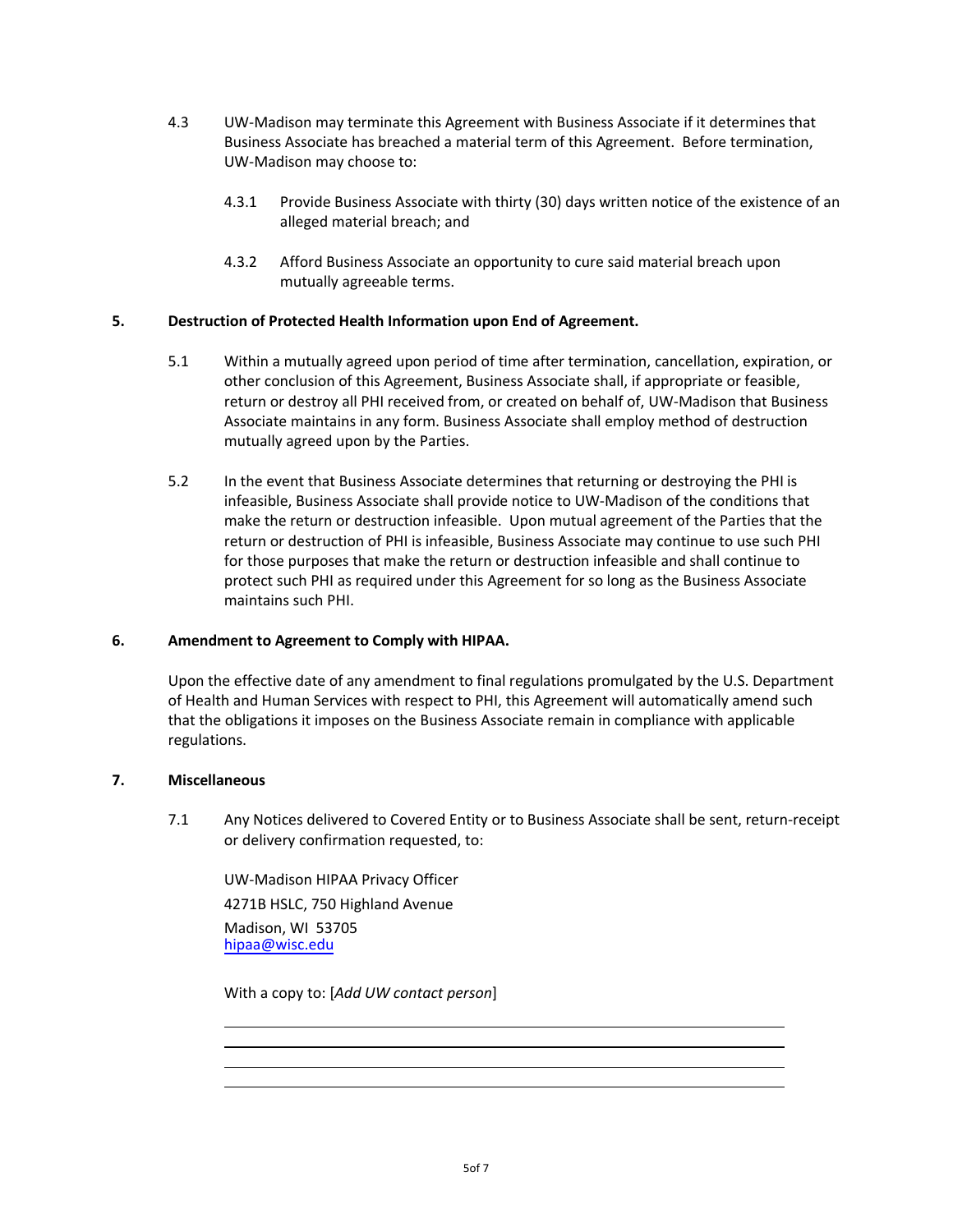- 4.3 UW-Madison may terminate this Agreement with Business Associate if it determines that Business Associate has breached a material term of this Agreement. Before termination, UW-Madison may choose to:
	- 4.3.1 Provide Business Associate with thirty (30) days written notice of the existence of an alleged material breach; and
	- 4.3.2 Afford Business Associate an opportunity to cure said material breach upon mutually agreeable terms.

## **5. Destruction of Protected Health Information upon End of Agreement.**

- 5.1 Within a mutually agreed upon period of time after termination, cancellation, expiration, or other conclusion of this Agreement, Business Associate shall, if appropriate or feasible, return or destroy all PHI received from, or created on behalf of, UW-Madison that Business Associate maintains in any form. Business Associate shall employ method of destruction mutually agreed upon by the Parties.
- 5.2 In the event that Business Associate determines that returning or destroying the PHI is infeasible, Business Associate shall provide notice to UW-Madison of the conditions that make the return or destruction infeasible. Upon mutual agreement of the Parties that the return or destruction of PHI is infeasible, Business Associate may continue to use such PHI for those purposes that make the return or destruction infeasible and shall continue to protect such PHI as required under this Agreement for so long as the Business Associate maintains such PHI.

#### **6. Amendment to Agreement to Comply with HIPAA.**

Upon the effective date of any amendment to final regulations promulgated by the U.S. Department of Health and Human Services with respect to PHI, this Agreement will automatically amend such that the obligations it imposes on the Business Associate remain in compliance with applicable regulations.

## **7. Miscellaneous**

7.1 Any Notices delivered to Covered Entity or to Business Associate shall be sent, return-receipt or delivery confirmation requested, to:

UW-Madison HIPAA Privacy Officer 4271B HSLC, 750 Highland Avenue Madison, WI 53705 [hipaa@wisc.edu](mailto:hipaa@wisc.edu) 

With a copy to: [*Add UW contact person*]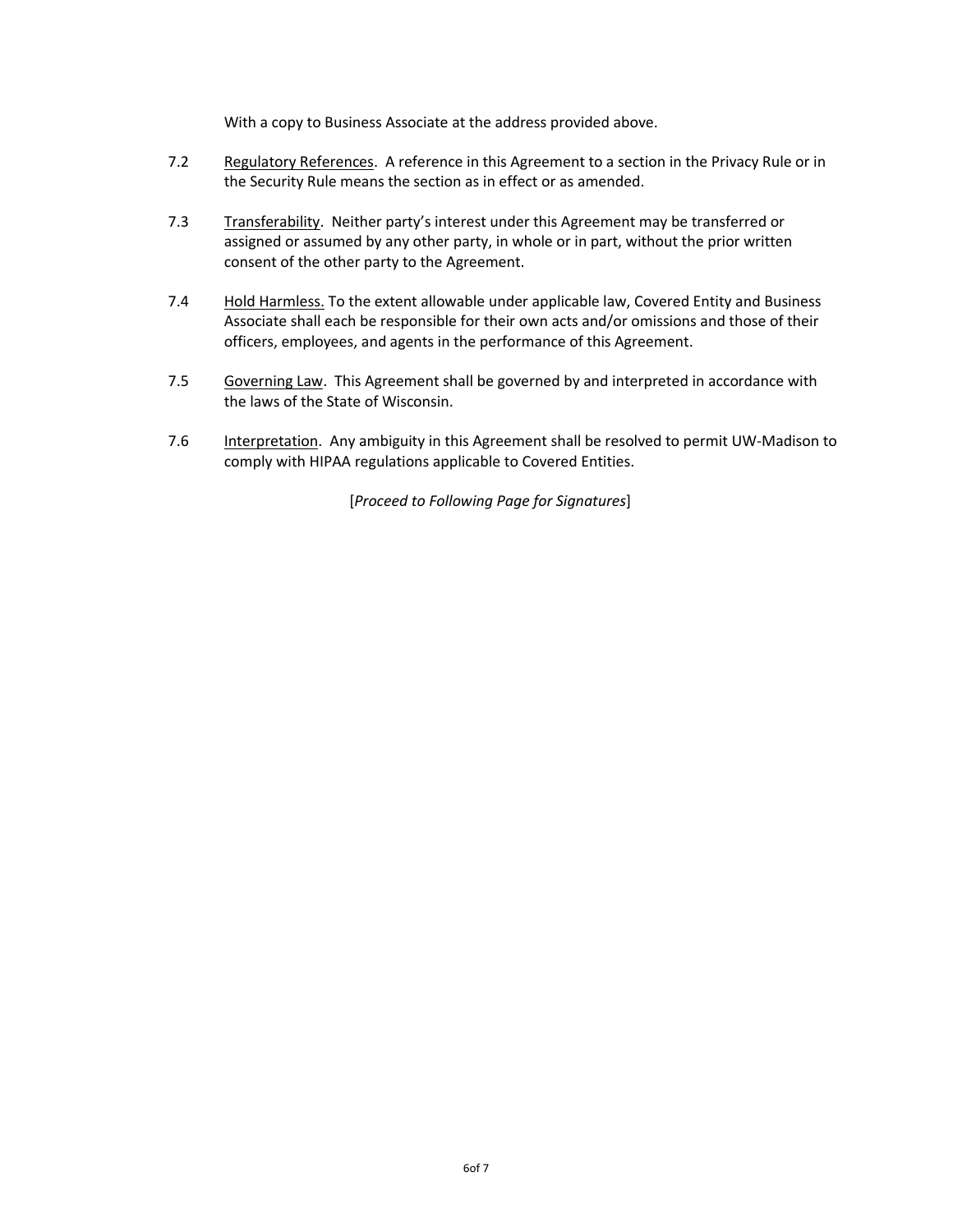With a copy to Business Associate at the address provided above.

- 7.2 Regulatory References. A reference in this Agreement to a section in the Privacy Rule or in the Security Rule means the section as in effect or as amended.
- 7.3 Transferability. Neither party's interest under this Agreement may be transferred or assigned or assumed by any other party, in whole or in part, without the prior written consent of the other party to the Agreement.
- 7.4 Hold Harmless. To the extent allowable under applicable law, Covered Entity and Business Associate shall each be responsible for their own acts and/or omissions and those of their officers, employees, and agents in the performance of this Agreement.
- 7.5 Governing Law. This Agreement shall be governed by and interpreted in accordance with the laws of the State of Wisconsin.
- 7.6 Interpretation. Any ambiguity in this Agreement shall be resolved to permit UW-Madison to comply with HIPAA regulations applicable to Covered Entities.

[*Proceed to Following Page for Signatures*]